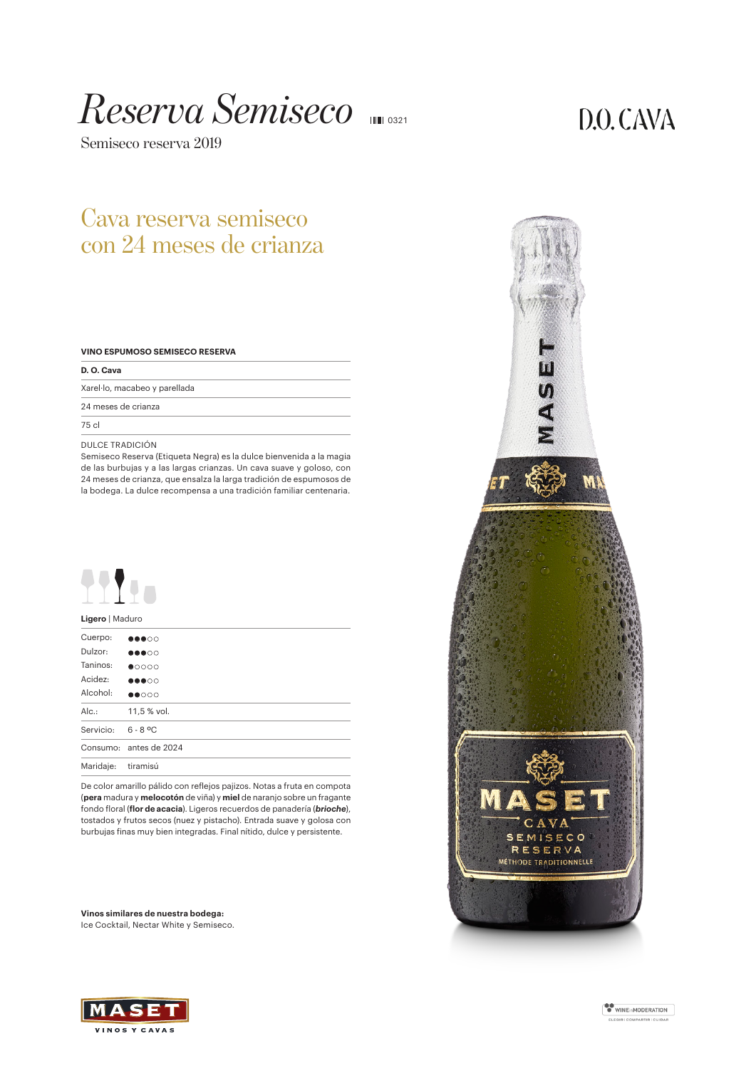# *Reserva Semiseco* <sup>0321</sup>

Semiseco reserva 2019

# $D.O. CAVA$

## Cava reserva semiseco con 24 meses de crianza

|  | VINO ESPUMOSO SEMISECO RESERVA |  |
|--|--------------------------------|--|
|  |                                |  |

| D. O. Cava                    |  |
|-------------------------------|--|
| Xarel·lo, macabeo y parellada |  |
| 24 meses de crianza           |  |
| 75 cl                         |  |

## DULCE TRADICIÓN

Semiseco Reserva (Etiqueta Negra) es la dulce bienvenida a la magia de las burbujas y a las largas crianzas. Un cava suave y goloso, con 24 meses de crianza, que ensalza la larga tradición de espumosos de la bodega. La dulce recompensa a una tradición familiar centenaria.



## **Ligero** | Maduro

| Cuerpo:   | $\bullet\bullet\bullet\circ\circ$ |
|-----------|-----------------------------------|
| Dulzor:   | $\bullet\bullet\bullet\circ\circ$ |
| Taninos:  | $\bullet$ 0000                    |
| Acidez:   | $\bullet\bullet\bullet\circ\circ$ |
| Alcohol:  | $\bullet\bullet\circ\circ\circ$   |
| Alc.      | 11,5 % vol.                       |
| Servicio: | $6 - 8$ °C                        |
|           | Consumo: antes de 2024            |
| Maridaje: | tiramisú                          |

De color amarillo pálido con reflejos pajizos. Notas a fruta en compota (**pera** madura y **melocotón** de viña) y **miel** de naranjo sobre un fragante fondo floral (**flor de acacia**). Ligeros recuerdos de panadería (*brioche*), tostados y frutos secos (nuez y pistacho). Entrada suave y golosa con burbujas finas muy bien integradas. Final nítido, dulce y persistente.

**Vinos similares de nuestra bodega:** Ice Cocktail, Nectar White y Semiseco.





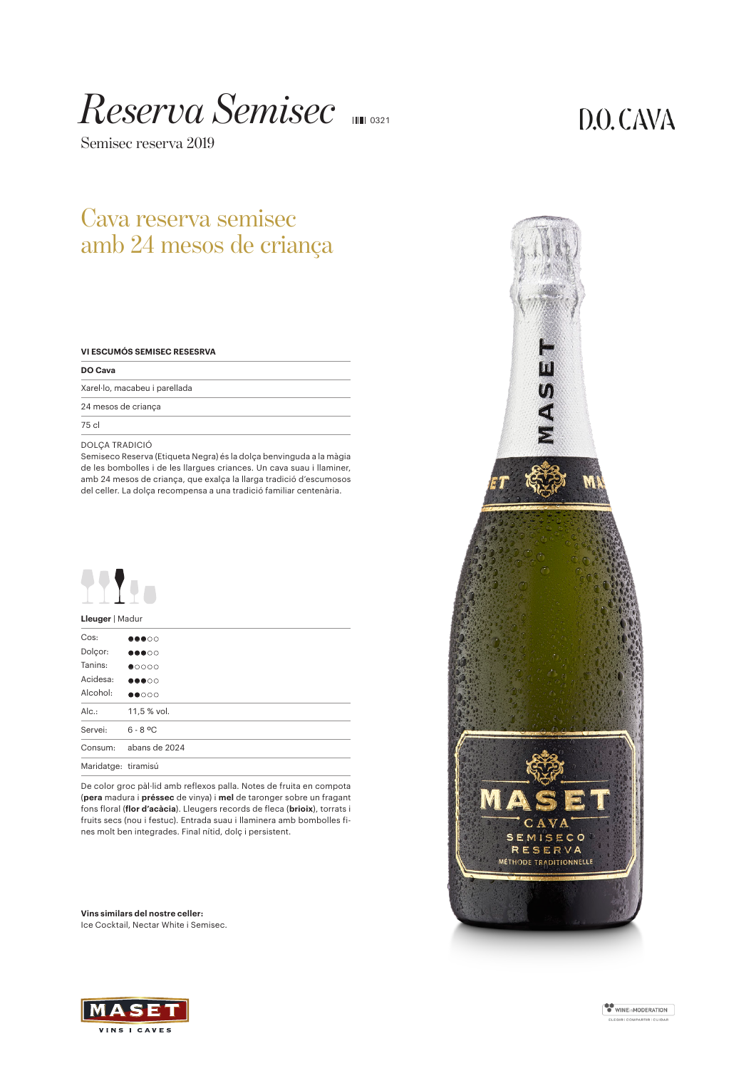# *Reserva Semisec* <sup>0321</sup>

Semisec reserva 2019

# $D.O. CAVA$

## Cava reserva semisec amb 24 mesos de criança

|  |  |  |  | VI ESCUMÓS SEMISEC RESESRVA |
|--|--|--|--|-----------------------------|
|--|--|--|--|-----------------------------|

| DO Cava                       |  |
|-------------------------------|--|
| Xarel·lo, macabeu i parellada |  |
| 24 mesos de criança           |  |
| 75 cl                         |  |

#### DOLÇA TRADICIÓ

Semiseco Reserva (Etiqueta Negra) és la dolça benvinguda a la màgia de les bombolles i de les llargues criances. Un cava suau i llaminer, amb 24 mesos de criança, que exalça la llarga tradició d'escumosos del celler. La dolça recompensa a una tradició familiar centenària.



## **Lleuger** | Madur

| Cos:                | $\bullet\bullet\bullet\circ\circ$ |
|---------------------|-----------------------------------|
| Dolcor:             | $\bullet\bullet\bullet\circ\circ$ |
| Tanins:             | $\bullet$ 0000                    |
| Acidesa:            | $\bullet\bullet\bullet\circ\circ$ |
| Alcohol:            | $\bullet\bullet\circ\circ\circ$   |
| Alc.                | 11,5 % vol.                       |
| Servei:             | $6 - 8$ °C                        |
| Consum:             | abans de 2024                     |
| Maridatge: tiramisú |                                   |

De color groc pàl·lid amb reflexos palla. Notes de fruita en compota (**pera** madura i **préssec** de vinya) i **mel** de taronger sobre un fragant fons floral (**flor d'acàcia**). Lleugers records de fleca (**brioix**), torrats i fruits secs (nou i festuc). Entrada suau i llaminera amb bombolles fines molt ben integrades. Final nítid, dolç i persistent.

**Vins similars del nostre celler:** Ice Cocktail, Nectar White i Semisec.





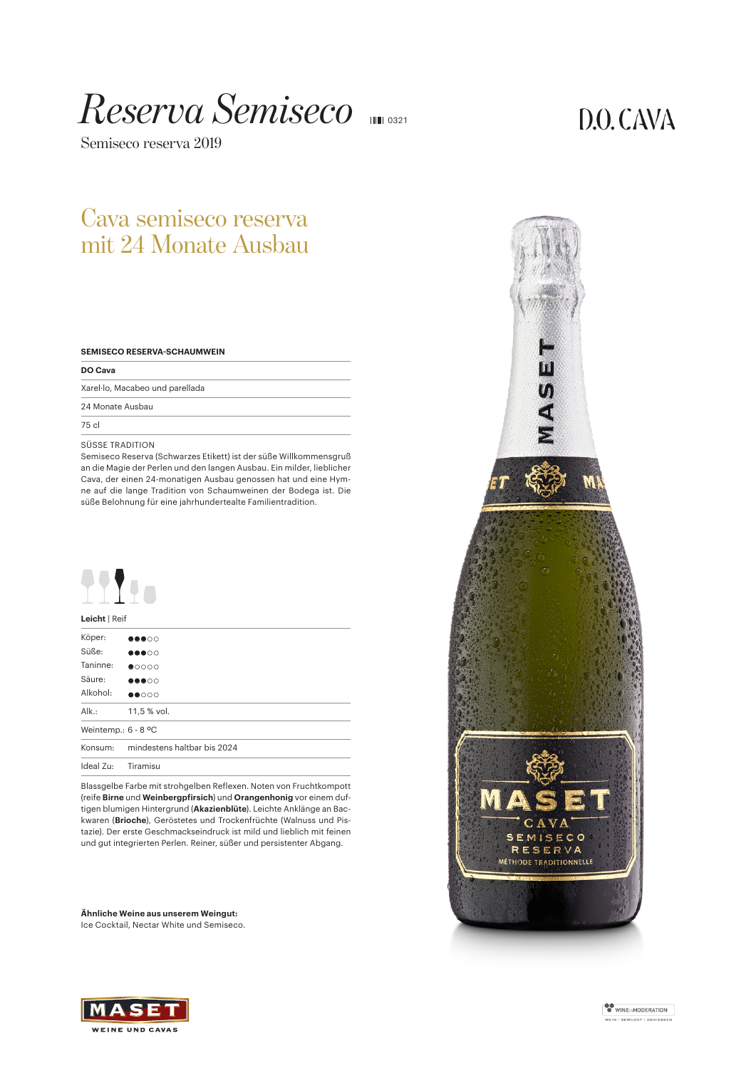# *Reserva Semiseco* <sup>0321</sup>

Semiseco reserva 2019

## $D.O. CAVA$

## Cava semiseco reserva mit 24 Monate Ausbau

| <b>SEMISECO RESERVA-SCHAUMWEIN</b> |  |  |
|------------------------------------|--|--|
|                                    |  |  |

| DO Cava                         |  |
|---------------------------------|--|
| Xarel·lo, Macabeo und parellada |  |
| 24 Monate Ausbau                |  |

75 cl

#### SÜSSE TRADITION

Semiseco Reserva (Schwarzes Etikett) ist der süße Willkommensgruß an die Magie der Perlen und den langen Ausbau. Ein milder, lieblicher Cava, der einen 24-monatigen Ausbau genossen hat und eine Hymne auf die lange Tradition von Schaumweinen der Bodega ist. Die süße Belohnung für eine jahrhundertealte Familientradition.



## **Leicht** | Reif

| Köper:              | $\bullet\bullet\bullet\circ\circ$ |
|---------------------|-----------------------------------|
| Süße:               | <b></b> 00                        |
| Taninne:            | $\bullet$ 0000                    |
| Säure:              | $\bullet\bullet\bullet\circ\circ$ |
| Alkohol:            | $\bullet\bullet\circ\circ\circ$   |
| Alk.:               | 11,5 % vol.                       |
| Weintemp.: 6 - 8 °C |                                   |
| Konsum:             | mindestens haltbar bis 2024       |
| Ideal Zu:           | Tiramisu                          |

Blassgelbe Farbe mit strohgelben Reflexen. Noten von Fruchtkompott (reife **Birne** und **Weinbergpfirsich**) und **Orangenhonig** vor einem duftigen blumigen Hintergrund (**Akazienblüte**). Leichte Anklänge an Backwaren (**Brioche**), Geröstetes und Trockenfrüchte (Walnuss und Pistazie). Der erste Geschmackseindruck ist mild und lieblich mit feinen und gut integrierten Perlen. Reiner, süßer und persistenter Abgang.

**Ähnliche Weine aus unserem Weingut:** Ice Cocktail, Nectar White und Semiseco.





WINEinMODERATION .<br>VEIN | BEWUSST | GENIESSEN